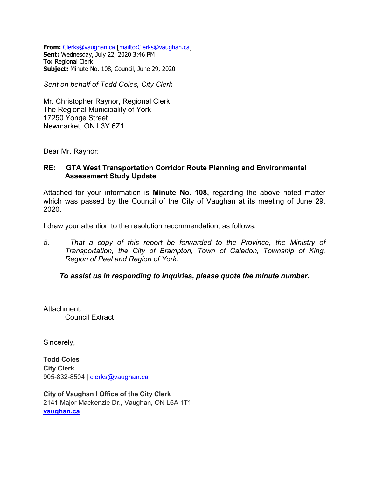**From:** [Clerks@vaughan.ca](mailto:Clerks@vaughan.ca) [\[mailto:Clerks@vaughan.ca\]](mailto:Clerks@vaughan.ca) **Sent:** Wednesday, July 22, 2020 3:46 PM **To:** Regional Clerk **Subject:** Minute No. 108, Council, June 29, 2020

*Sent on behalf of Todd Coles, City Clerk*

Mr. Christopher Raynor, Regional Clerk The Regional Municipality of York 17250 Yonge Street Newmarket, ON L3Y 6Z1

Dear Mr. Raynor:

#### **RE: GTA West Transportation Corridor Route Planning and Environmental Assessment Study Update**

Attached for your information is **Minute No. 108,** regarding the above noted matter which was passed by the Council of the City of Vaughan at its meeting of June 29, 2020.

I draw your attention to the resolution recommendation, as follows:

*5. That a copy of this report be forwarded to the Province, the Ministry of Transportation, the City of Brampton, Town of Caledon, Township of King, Region of Peel and Region of York.*

*To assist us in responding to inquiries, please quote the minute number.*

Attachment: Council Extract

Sincerely,

**Todd Coles City Clerk** 905-832-8504 | [clerks@vaughan.ca](mailto:clerks@vaughan.ca)

**City of Vaughan l Office of the City Clerk**  2141 Major Mackenzie Dr., Vaughan, ON L6A 1T1 **[vaughan.ca](http://www.vaughan.ca/)**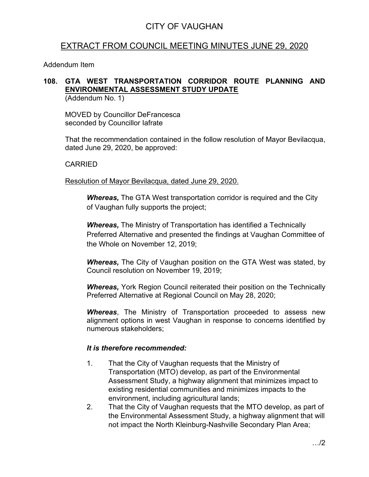# EXTRACT FROM COUNCIL MEETING MINUTES JUNE 29, 2020

Addendum Item

### **108. GTA WEST TRANSPORTATION CORRIDOR ROUTE PLANNING AND ENVIRONMENTAL ASSESSMENT STUDY UPDATE**

(Addendum No. 1)

MOVED by Councillor DeFrancesca seconded by Councillor Iafrate

That the recommendation contained in the follow resolution of Mayor Bevilacqua, dated June 29, 2020, be approved:

### CARRIED

Resolution of Mayor Bevilacqua, dated June 29, 2020.

*Whereas,* The GTA West transportation corridor is required and the City of Vaughan fully supports the project;

*Whereas,* The Ministry of Transportation has identified a Technically Preferred Alternative and presented the findings at Vaughan Committee of the Whole on November 12, 2019;

*Whereas,* The City of Vaughan position on the GTA West was stated, by Council resolution on November 19, 2019;

*Whereas,* York Region Council reiterated their position on the Technically Preferred Alternative at Regional Council on May 28, 2020;

*Whereas*, The Ministry of Transportation proceeded to assess new alignment options in west Vaughan in response to concerns identified by numerous stakeholders;

#### *It is therefore recommended:*

- 1. That the City of Vaughan requests that the Ministry of Transportation (MTO) develop, as part of the Environmental Assessment Study, a highway alignment that minimizes impact to existing residential communities and minimizes impacts to the environment, including agricultural lands;
- 2. That the City of Vaughan requests that the MTO develop, as part of the Environmental Assessment Study, a highway alignment that will not impact the North Kleinburg-Nashville Secondary Plan Area;